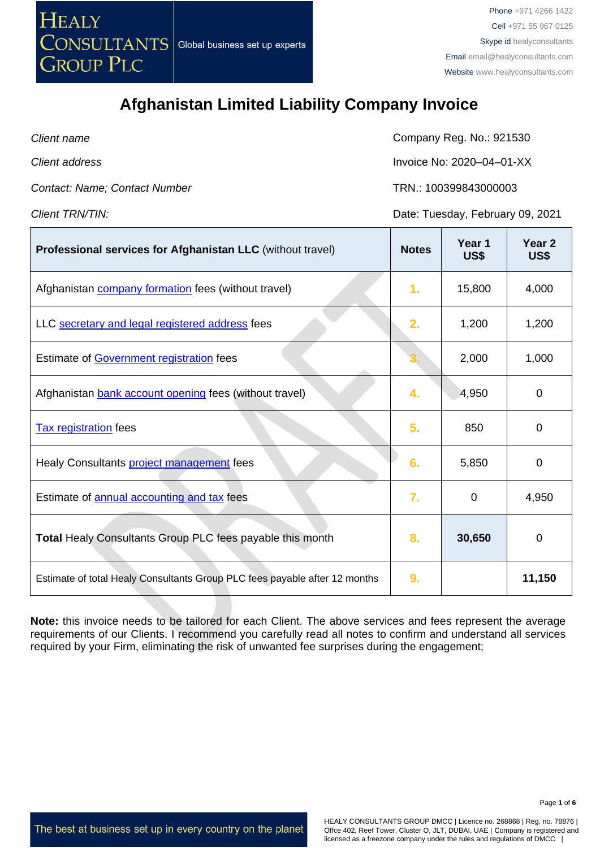

| Client name                   | Company Reg. No.: 921530         |
|-------------------------------|----------------------------------|
| Client address                | Invoice No: 2020-04-01-XX        |
| Contact: Name; Contact Number | TRN: 100399843000003             |
| Client TRN/TIN:               | Date: Tuesday, February 09, 2021 |

| Professional services for Afghanistan LLC (without travel)                 | <b>Notes</b> | Year 1<br>US\$ | Year <sub>2</sub><br>US\$ |
|----------------------------------------------------------------------------|--------------|----------------|---------------------------|
| Afghanistan <b>company formation</b> fees (without travel)                 | 1.           | 15,800         | 4,000                     |
| LLC secretary and legal registered address fees                            | 2.           | 1,200          | 1,200                     |
| Estimate of Government registration fees                                   |              | 2,000          | 1,000                     |
| Afghanistan bank account opening fees (without travel)                     | 4.           | 4,950          | $\mathbf 0$               |
| <b>Tax registration</b> fees                                               | 5.           | 850            | 0                         |
| Healy Consultants project management fees                                  | 6.           | 5,850          | 0                         |
| Estimate of annual accounting and tax fees                                 | 7.           | 0              | 4,950                     |
| <b>Total Healy Consultants Group PLC fees payable this month</b>           | 8.           | 30,650         | 0                         |
| Estimate of total Healy Consultants Group PLC fees payable after 12 months | 9.           |                | 11,150                    |

**Note:** this invoice needs to be tailored for each Client. The above services and fees represent the average requirements of our Clients. I recommend you carefully read all notes to confirm and understand all services required by your Firm, eliminating the risk of unwanted fee surprises during the engagement;

The best at business set up in every country on the planet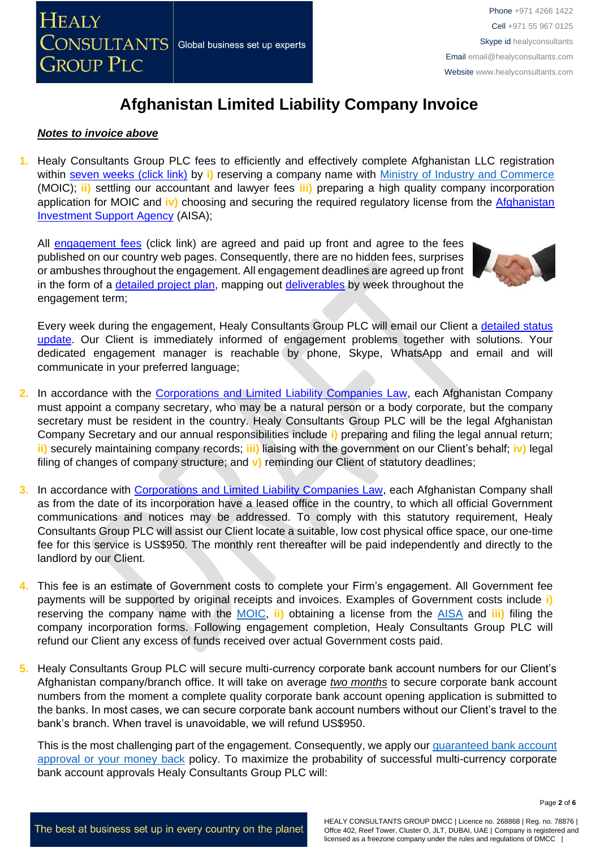

#### *Notes to invoice above*

**1.** Healy Consultants Group PLC fees to efficiently and effectively complete Afghanistan LLC registration within [seven weeks \(click link\)](http://www.healyconsultants.com/afghanistan-company-registration/fees-timelines/#timelines) by **i)** reserving a company name with [Ministry of Industry and Commerce](https://moci.gov.af/) (MOIC); **ii)** settling our accountant and lawyer fees **iii)** preparing a high quality company incorporation application for MOIC and **iv)** choosing and securing the required regulatory license from the [Afghanistan](https://investinafghanistan.af/about-aisa/)  [Investment Support Agency](https://investinafghanistan.af/about-aisa/) (AISA);

All [engagement fees](http://www.healyconsultants.com/company-registration-fees/) (click link) are agreed and paid up front and agree to the fees published on our country web pages. Consequently, there are no hidden fees, surprises or ambushes throughout the engagement. All engagement deadlines are agreed up front in the form of a [detailed project plan,](http://www.healyconsultants.com/index-important-links/example-project-plan/) mapping out [deliverables](http://www.healyconsultants.com/deliverables-to-our-clients/) by week throughout the engagement term;



Every week during the engagement, Healy Consultants Group PLC will email our Client a [detailed status](http://www.healyconsultants.com/index-important-links/weekly-engagement-status-email/)  [update.](http://www.healyconsultants.com/index-important-links/weekly-engagement-status-email/) Our Client is immediately informed of engagement problems together with solutions. Your dedicated engagement manager is reachable by phone, Skype, WhatsApp and email and will communicate in your preferred language;

- **2.** In accordance with the [Corporations and Limited Liability Companies Law,](https://afghaneconomics.com/law/1/Corporation%20and%20Limited%20Liability%20Law.pdf) each Afghanistan Company must appoint a company secretary, who may be a natural person or a body corporate, but the company secretary must be resident in the country. Healy Consultants Group PLC will be the legal Afghanistan Company Secretary and our annual responsibilities include **i)** preparing and filing the legal annual return; **ii)** securely maintaining company records; **iii)** liaising with the government on our Client's behalf; **iv)** legal filing of changes of company structure; and **v)** reminding our Client of statutory deadlines;
- **3.** In accordance with [Corporations and Limited Liability Companies Law,](https://afghaneconomics.com/law/1/Corporation%20and%20Limited%20Liability%20Law.pdf) each Afghanistan Company shall as from the date of its incorporation have a leased office in the country, to which all official Government communications and notices may be addressed. To comply with this statutory requirement, Healy Consultants Group PLC will assist our Client locate a suitable, low cost physical office space, our one-time fee for this service is US\$950. The monthly rent thereafter will be paid independently and directly to the landlord by our Client.
- **4.** This fee is an estimate of Government costs to complete your Firm's engagement. All Government fee payments will be supported by original receipts and invoices. Examples of Government costs include **i)** reserving the company name with the [MOIC,](https://moci.gov.af/) **ii)** obtaining a license from the [AISA](https://investinafghanistan.af/about-aisa/) and **iii)** filing the company incorporation forms. Following engagement completion, Healy Consultants Group PLC will refund our Client any excess of funds received over actual Government costs paid.
- **5.** Healy Consultants Group PLC will secure multi-currency corporate bank account numbers for our Client's Afghanistan company/branch office. It will take on average *two months* to secure corporate bank account numbers from the moment a complete quality corporate bank account opening application is submitted to the banks. In most cases, we can secure corporate bank account numbers without our Client's travel to the bank's branch. When travel is unavoidable, we will refund US\$950.

This is the most challenging part of the engagement. Consequently, we apply our [guaranteed bank account](https://www.healyconsultants.com/corporate-banking-services/guaranteed-corporate-bank-account-approvals/)  [approval or your money back](https://www.healyconsultants.com/corporate-banking-services/guaranteed-corporate-bank-account-approvals/) policy. To maximize the probability of successful multi-currency corporate bank account approvals Healy Consultants Group PLC will:

The best at business set up in every country on the planet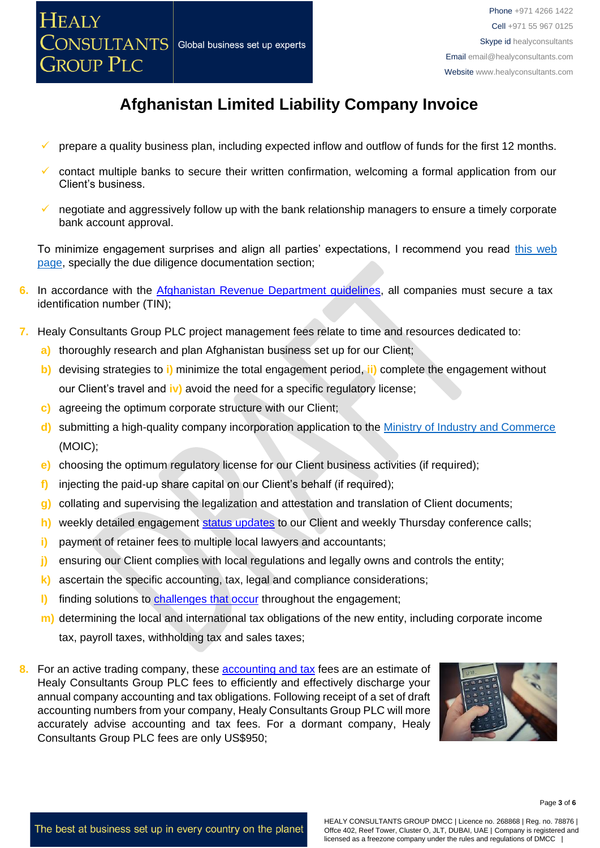

- prepare a quality business plan, including expected inflow and outflow of funds for the first 12 months.
- ✓ contact multiple banks to secure their written confirmation, welcoming a formal application from our Client's business.
- negotiate and aggressively follow up with the bank relationship managers to ensure a timely corporate bank account approval.

To minimize engagement surprises and align all parties' expectations, I recommend you read [this web](https://www.healyconsultants.com/multi-currency-corporate-bank-account/)  [page,](https://www.healyconsultants.com/multi-currency-corporate-bank-account/) specially the due diligence documentation section;

- **6.** In accordance with the [Afghanistan Revenue Department guidelines,](https://mof.gov.af/sites/default/files/2019-03/Guide%2004%20-%20Tax%20Overview%20for%20Businesses%2C%20Investors%20%26%20Individuals-min.pdf) all companies must secure a tax identification number (TIN);
- **7.** Healy Consultants Group PLC project management fees relate to time and resources dedicated to:
	- **a)** thoroughly research and plan Afghanistan business set up for our Client;
	- **b)** devising strategies to **i)** minimize the total engagement period, **ii)** complete the engagement without our Client's travel and **iv)** avoid the need for a specific regulatory license;
	- **c)** agreeing the optimum corporate structure with our Client;
	- **d)** submitting a high-quality company incorporation application to the [Ministry of Industry and Commerce](https://moci.gov.af/) (MOIC[\);](http://www.dubaided.gov.ae/en/Pages/default.aspx)
	- **e)** choosing the optimum regulatory license for our Client business activities (if required);
	- **f)** injecting the paid-up share capital on our Client's behalf (if required);
	- **g)** collating and supervising the legalization and attestation and translation of Client documents;
	- h) weekly detailed engagement [status updates](http://www.healyconsultants.com/index-important-links/weekly-engagement-status-email/) to our Client and weekly Thursday conference calls;
	- **i)** payment of retainer fees to multiple local lawyers and accountants;
	- **j)** ensuring our Client complies with local regulations and legally owns and controls the entity;
	- **k)** ascertain the specific accounting, tax, legal and compliance considerations;
	- **l)** finding solutions to [challenges that occur](http://www.healyconsultants.com/engagement-project-management/) throughout the engagement;
	- **m)** determining the local and international tax obligations of the new entity, including corporate income tax, payroll taxes, withholding tax and sales taxes;
- **8.** For an active trading company, these [accounting and tax](https://www.healyconsultants.com/afghanistan-company-registration/accounting-legal/) fees are an estimate of Healy Consultants Group PLC fees to efficiently and effectively discharge your annual company accounting and tax obligations. Following receipt of a set of draft accounting numbers from your company, Healy Consultants Group PLC will more accurately advise accounting and tax fees. For a dormant company, Healy Consultants Group PLC fees are only US\$950;

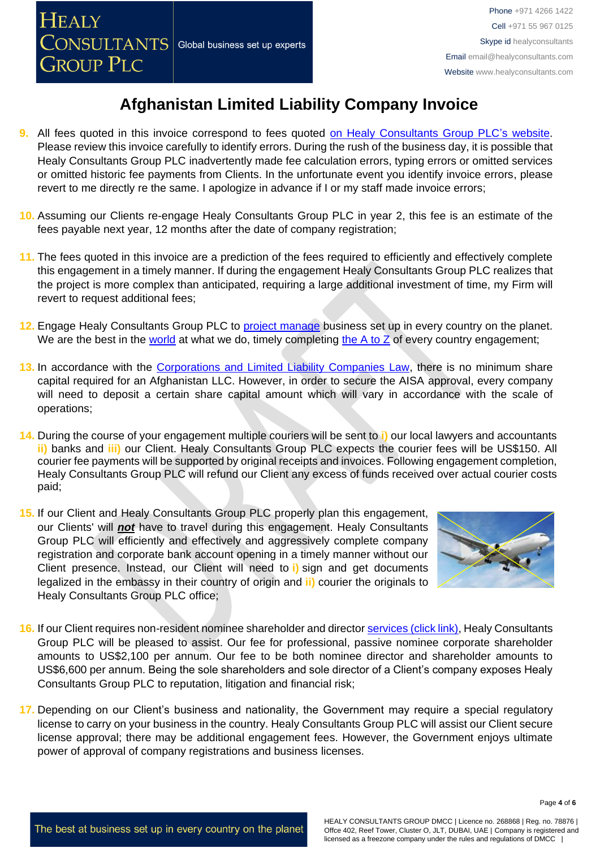- **9.** All fees quoted in this invoice correspond to fees quoted [on Healy Consultants Group PLC's](http://www.healyconsultants.com/company-registration-fees/) website. Please review this invoice carefully to identify errors. During the rush of the business day, it is possible that Healy Consultants Group PLC inadvertently made fee calculation errors, typing errors or omitted services or omitted historic fee payments from Clients. In the unfortunate event you identify invoice errors, please revert to me directly re the same. I apologize in advance if I or my staff made invoice errors;
- **10.** Assuming our Clients re-engage Healy Consultants Group PLC in year 2, this fee is an estimate of the fees payable next year, 12 months after the date of company registration;
- **11.** The fees quoted in this invoice are a prediction of the fees required to efficiently and effectively complete this engagement in a timely manner. If during the engagement Healy Consultants Group PLC realizes that the project is more complex than anticipated, requiring a large additional investment of time, my Firm will revert to request additional fees;
- **12.** Engage Healy Consultants Group PLC to [project manage](http://www.healyconsultants.com/project-manage-engagements/) business set up in every country on the planet. We are the best in the [world](http://www.healyconsultants.com/best-in-the-world/) at what we do, timely completing the  $\overline{A}$  to  $\overline{Z}$  of every country engagement;
- **13.** In accordance with the [Corporations and Limited Liability Companies Law,](https://afghaneconomics.com/law/1/Corporation%20and%20Limited%20Liability%20Law.pdf) there is no minimum share capital required for an Afghanistan LLC. However, in order to secure the AISA approval, every company will need to deposit a certain share capital amount which will vary in accordance with the scale of operations;
- **14.** During the course of your engagement multiple couriers will be sent to **i)** our local lawyers and accountants **ii)** banks and **iii)** our Client. Healy Consultants Group PLC expects the courier fees will be US\$150. All courier fee payments will be supported by original receipts and invoices. Following engagement completion, Healy Consultants Group PLC will refund our Client any excess of funds received over actual courier costs paid;
- **15.** If our Client and Healy Consultants Group PLC properly plan this engagement, our Clients' will *not* have to travel during this engagement. Healy Consultants Group PLC will efficiently and effectively and aggressively complete company registration and corporate bank account opening in a timely manner without our Client presence. Instead, our Client will need to **i)** sign and get documents legalized in the embassy in their country of origin and **ii)** courier the originals to Healy Consultants Group PLC office;



- **16.** If our Client requires non-resident nominee shareholder and directo[r services \(click link\),](http://www.healyconsultants.com/corporate-outsourcing-services/nominee-shareholders-directors/) Healy Consultants Group PLC will be pleased to assist. Our fee for professional, passive nominee corporate shareholder amounts to US\$2,100 per annum. Our fee to be both nominee director and shareholder amounts to US\$6,600 per annum. Being the sole shareholders and sole director of a Client's company exposes Healy Consultants Group PLC to reputation, litigation and financial risk;
- **17.** Depending on our Client's business and nationality, the Government may require a special regulatory license to carry on your business in the country. Healy Consultants Group PLC will assist our Client secure license approval; there may be additional engagement fees. However, the Government enjoys ultimate power of approval of company registrations and business licenses.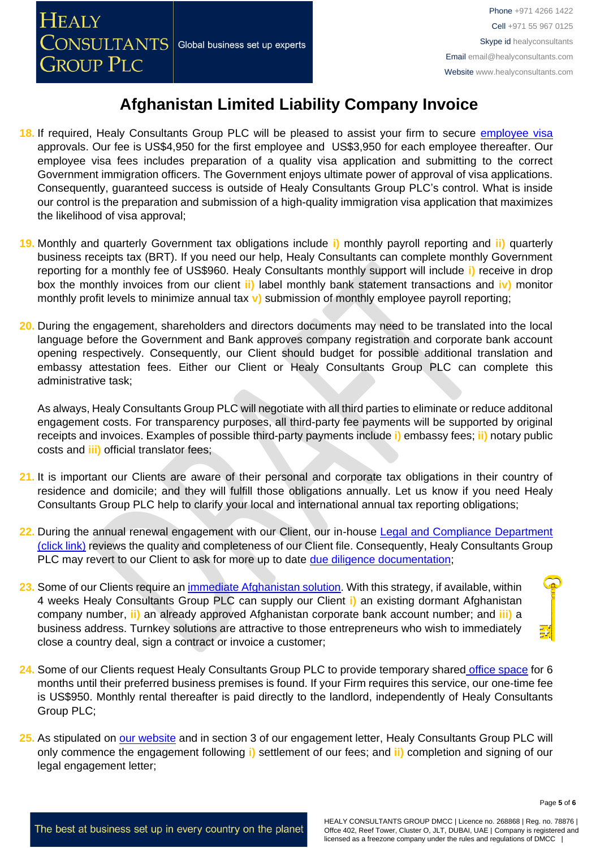- 18. If required, Healy Consultants Group PLC will be pleased to assist your firm to secure [employee](http://www.healyconsultants.com/afghanistan-company-registration/formation-support-services/) visa approvals. Our fee is US\$4,950 for the first employee and US\$3,950 for each employee thereafter. Our employee visa fees includes preparation of a quality visa application and submitting to the correct Government immigration officers. The Government enjoys ultimate power of approval of visa applications. Consequently, guaranteed success is outside of Healy Consultants Group PLC's control. What is inside our control is the preparation and submission of a high-quality immigration visa application that maximizes the likelihood of visa approval;
- **19.** Monthly and quarterly Government tax obligations include **i)** monthly payroll reporting and **ii)** quarterly business receipts tax (BRT). If you need our help, Healy Consultants can complete monthly Government reporting for a monthly fee of US\$960. Healy Consultants monthly support will include **i)** receive in drop box the monthly invoices from our client **ii)** label monthly bank statement transactions and **iv)** monitor monthly profit levels to minimize annual tax **v)** submission of monthly employee payroll reporting;
- **20.** During the engagement, shareholders and directors documents may need to be translated into the local language before the Government and Bank approves company registration and corporate bank account opening respectively. Consequently, our Client should budget for possible additional translation and embassy attestation fees. Either our Client or Healy Consultants Group PLC can complete this administrative task;

As always, Healy Consultants Group PLC will negotiate with all third parties to eliminate or reduce additonal engagement costs. For transparency purposes, all third-party fee payments will be supported by original receipts and invoices. Examples of possible third-party payments include **i)** embassy fees; **ii)** notary public costs and **iii)** official translator fees;

- **21.** It is important our Clients are aware of their personal and corporate tax obligations in their country of residence and domicile; and they will fulfill those obligations annually. Let us know if you need Healy Consultants Group PLC help to clarify your local and international annual tax reporting obligations;
- 22. During the annual renewal engagement with our Client, our in-house Legal and Compliance Department [\(click link\)](http://www.healyconsultants.com/about-us/key-personnel/cai-xin-profile/) reviews the quality and completeness of our Client file. Consequently, Healy Consultants Group PLC may revert to our Client to ask for more up to date [due diligence documentation;](http://www.healyconsultants.com/due-diligence/)
- **23.** Some of our Clients require an [immediate Afghanistan](http://www.healyconsultants.com/turnkey-solutions/) solution. With this strategy, if available, within 4 weeks Healy Consultants Group PLC can supply our Client **i)** an existing dormant Afghanistan company number, **ii)** an already approved Afghanistan corporate bank account number; and **iii)** a business address. Turnkey solutions are attractive to those entrepreneurs who wish to immediately close a country deal, sign a contract or invoice a customer;
- **24.** Some of our Clients request Healy Consultants Group PLC to provide temporary shared [office space](http://www.healyconsultants.com/virtual-office/) for 6 months until their preferred business premises is found. If your Firm requires this service, our one-time fee is US\$950. Monthly rental thereafter is paid directly to the landlord, independently of Healy Consultants Group PLC;
- 25. As stipulated on [our website](http://www.healyconsultants.com/) and in section 3 of our engagement letter, Healy Consultants Group PLC will only commence the engagement following **i)** settlement of our fees; and **ii)** completion and signing of our legal engagement letter;